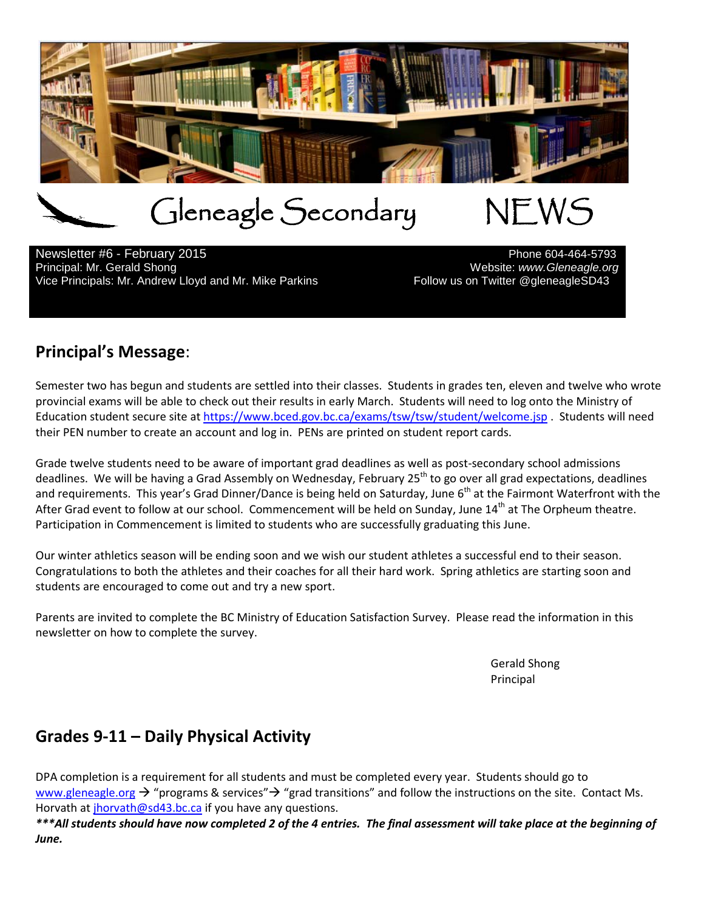

Gleneagle Secondary NEWS<br>uary 2015

Newsletter #6 - February 2015<br>Principal: Mr. Gerald Shong Vice Principals: Mr. Andrew Lloyd and Mr. Mike Parkins

Website: www.Gleneagle.org<br>Follow us on Twitter @gleneagleSD43

## **Principal's Message**:

Semester two has begun and students are settled into their classes. Students in grades ten, eleven and twelve who wrote provincial exams will be able to check out their results in early March. Students will need to log onto the Ministry of Education student secure site at<https://www.bced.gov.bc.ca/exams/tsw/tsw/student/welcome.jsp> . Students will need their PEN number to create an account and log in. PENs are printed on student report cards.

Grade twelve students need to be aware of important grad deadlines as well as post-secondary school admissions deadlines. We will be having a Grad Assembly on Wednesday, February 25<sup>th</sup> to go over all grad expectations, deadlines and requirements. This year's Grad Dinner/Dance is being held on Saturday, June  $6<sup>th</sup>$  at the Fairmont Waterfront with the After Grad event to follow at our school. Commencement will be held on Sunday, June 14<sup>th</sup> at The Orpheum theatre. Participation in Commencement is limited to students who are successfully graduating this June.

Our winter athletics season will be ending soon and we wish our student athletes a successful end to their season. Congratulations to both the athletes and their coaches for all their hard work. Spring athletics are starting soon and students are encouraged to come out and try a new sport.

Parents are invited to complete the BC Ministry of Education Satisfaction Survey. Please read the information in this newsletter on how to complete the survey.

> Gerald Shong Principal

# **Grades 9-11 – Daily Physical Activity**

DPA completion is a requirement for all students and must be completed every year. Students should go to [www.gleneagle.org](http://www.gleneagle.org/)  $\rightarrow$  "programs & services"  $\rightarrow$  "grad transitions" and follow the instructions on the site. Contact Ms. Horvath at *jhorvath@sd43.bc.ca* if you have any questions.

*\*\*\*All students should have now completed 2 of the 4 entries. The final assessment will take place at the beginning of June.*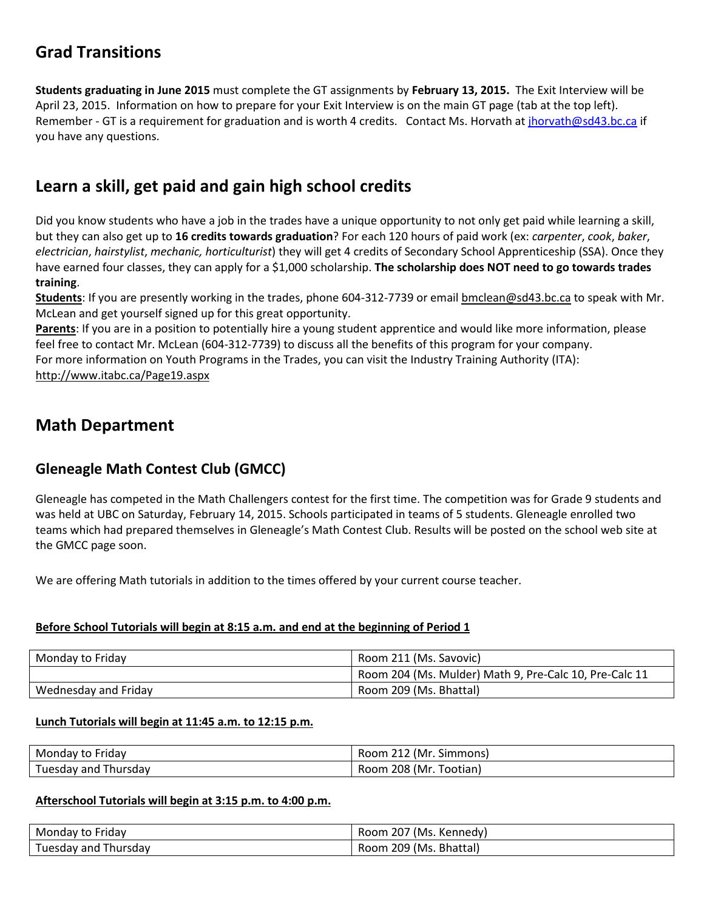# **Grad Transitions**

**Students graduating in June 2015** must complete the GT assignments by **February 13, 2015.** The Exit Interview will be April 23, 2015. Information on how to prepare for your Exit Interview is on the main GT page (tab at the top left). Remember - GT is a requirement for graduation and is worth 4 credits. Contact Ms. Horvath a[t jhorvath@sd43.bc.ca](mailto:jhorvath@sd43.bc.ca) if you have any questions.

# **Learn a skill, get paid and gain high school credits**

Did you know students who have a job in the trades have a unique opportunity to not only get paid while learning a skill, but they can also get up to **16 credits towards graduation**? For each 120 hours of paid work (ex: *carpenter*, *cook*, *baker*, *electrician*, *hairstylist*, *mechanic, horticulturist*) they will get 4 credits of Secondary School Apprenticeship (SSA). Once they have earned four classes, they can apply for a \$1,000 scholarship. **The scholarship does NOT need to go towards trades training**.

**Students**: If you are presently working in the trades, phone 604-312-7739 or email [bmclean@sd43.bc.ca](mailto:bmclean@sd43.bc.ca) to speak with Mr. McLean and get yourself signed up for this great opportunity.

**Parents**: If you are in a position to potentially hire a young student apprentice and would like more information, please feel free to contact Mr. McLean (604-312-7739) to discuss all the benefits of this program for your company. For more information on Youth Programs in the Trades, you can visit the Industry Training Authority (ITA): <http://www.itabc.ca/Page19.aspx>

## **Math Department**

## **Gleneagle Math Contest Club (GMCC)**

Gleneagle has competed in the Math Challengers contest for the first time. The competition was for Grade 9 students and was held at UBC on Saturday, February 14, 2015. Schools participated in teams of 5 students. Gleneagle enrolled two teams which had prepared themselves in Gleneagle's Math Contest Club. Results will be posted on the school web site at the GMCC page soon.

We are offering Math tutorials in addition to the times offered by your current course teacher.

#### **Before School Tutorials will begin at 8:15 a.m. and end at the beginning of Period 1**

| Monday to Friday     | Room 211 (Ms. Savovic)                                 |
|----------------------|--------------------------------------------------------|
|                      | Room 204 (Ms. Mulder) Math 9, Pre-Calc 10, Pre-Calc 11 |
| Wednesday and Friday | Room 209 (Ms. Bhattal)                                 |

#### **Lunch Tutorials will begin at 11:45 a.m. to 12:15 p.m.**

| Monday to Friday        | Room 212 (Mr. Simmons) |
|-------------------------|------------------------|
| Tuesday and<br>Thursdav | Room 208 (Mr. Tootian) |

#### **Afterschool Tutorials will begin at 3:15 p.m. to 4:00 p.m.**

| Monday to Friday | (Ms. Kennedy)<br>Room.<br>. ZU / |
|------------------|----------------------------------|
| Tuesdav          | 209                              |
| Thursday         | (Ms. Bhattal)                    |
| and -            | Room                             |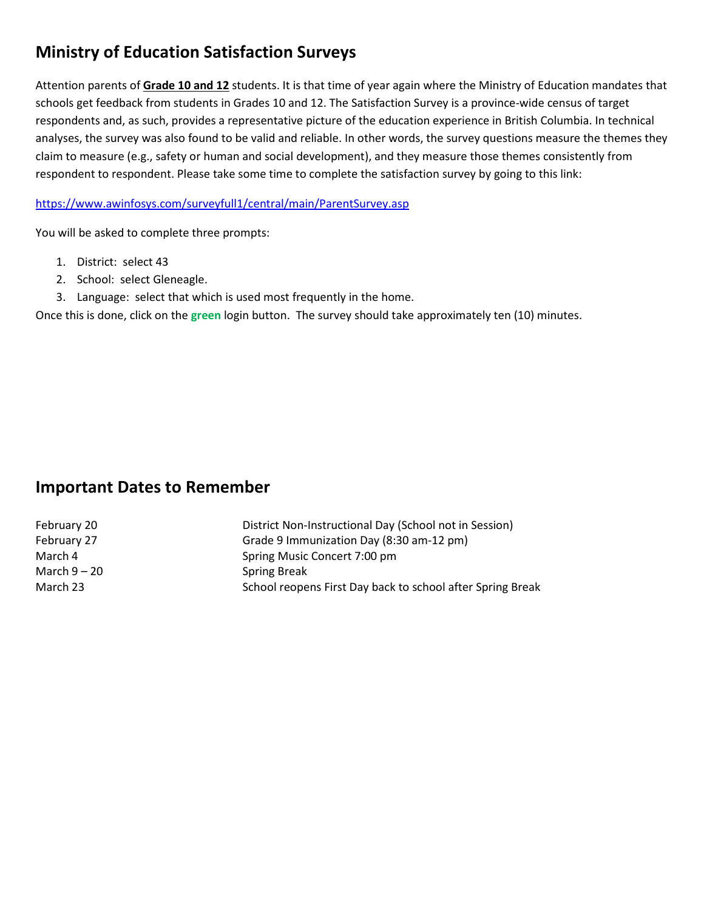# **Ministry of Education Satisfaction Surveys**

Attention parents of **Grade 10 and 12** students. It is that time of year again where the Ministry of Education mandates that schools get feedback from students in Grades 10 and 12. The Satisfaction Survey is a province-wide census of target respondents and, as such, provides a representative picture of the education experience in British Columbia. In technical analyses, the survey was also found to be valid and reliable. In other words, the survey questions measure the themes they claim to measure (e.g., safety or human and social development), and they measure those themes consistently from respondent to respondent. Please take some time to complete the satisfaction survey by going to this link:

<https://www.awinfosys.com/surveyfull1/central/main/ParentSurvey.asp>

You will be asked to complete three prompts:

- 1. District: select 43
- 2. School: select Gleneagle.
- 3. Language: select that which is used most frequently in the home.

Once this is done, click on the **green** login button. The survey should take approximately ten (10) minutes.

## **Important Dates to Remember**

| February 20    | District Non-Instructional Day (School not in Session)     |
|----------------|------------------------------------------------------------|
| February 27    | Grade 9 Immunization Day (8:30 am-12 pm)                   |
| March 4        | Spring Music Concert 7:00 pm                               |
| March $9 - 20$ | <b>Spring Break</b>                                        |
| March 23       | School reopens First Day back to school after Spring Break |
|                |                                                            |